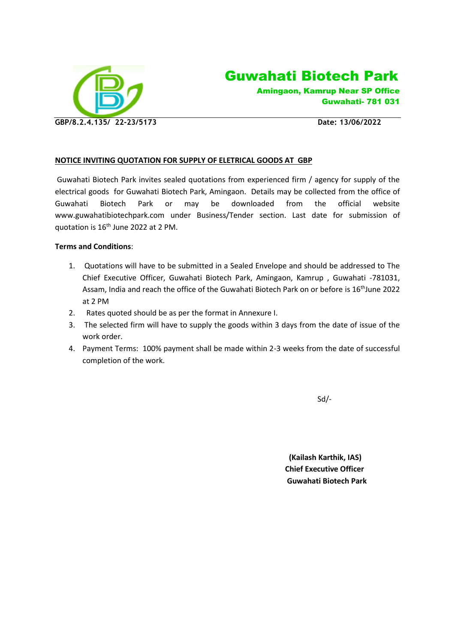



Amingaon, Kamrup Near SP Office Guwahati- 781 031

### **NOTICE INVITING QUOTATION FOR SUPPLY OF ELETRICAL GOODS AT GBP**

Guwahati Biotech Park invites sealed quotations from experienced firm / agency for supply of the electrical goods for Guwahati Biotech Park, Amingaon. Details may be collected from the office of Guwahati Biotech Park or may be downloaded from the official website www.guwahatibiotechpark.com under Business/Tender section. Last date for submission of quotation is 16<sup>th</sup> June 2022 at 2 PM.

#### **Terms and Conditions**:

- 1. Quotations will have to be submitted in a Sealed Envelope and should be addressed to The Chief Executive Officer, Guwahati Biotech Park, Amingaon, Kamrup , Guwahati -781031, Assam, India and reach the office of the Guwahati Biotech Park on or before is 16<sup>th</sup>June 2022 at 2 PM
- 2. Rates quoted should be as per the format in Annexure I.
- 3. The selected firm will have to supply the goods within 3 days from the date of issue of the work order.
- 4. Payment Terms: 100% payment shall be made within 2-3 weeks from the date of successful completion of the work.

 $Sd$ 

 **(Kailash Karthik, IAS) Chief Executive Officer Guwahati Biotech Park**